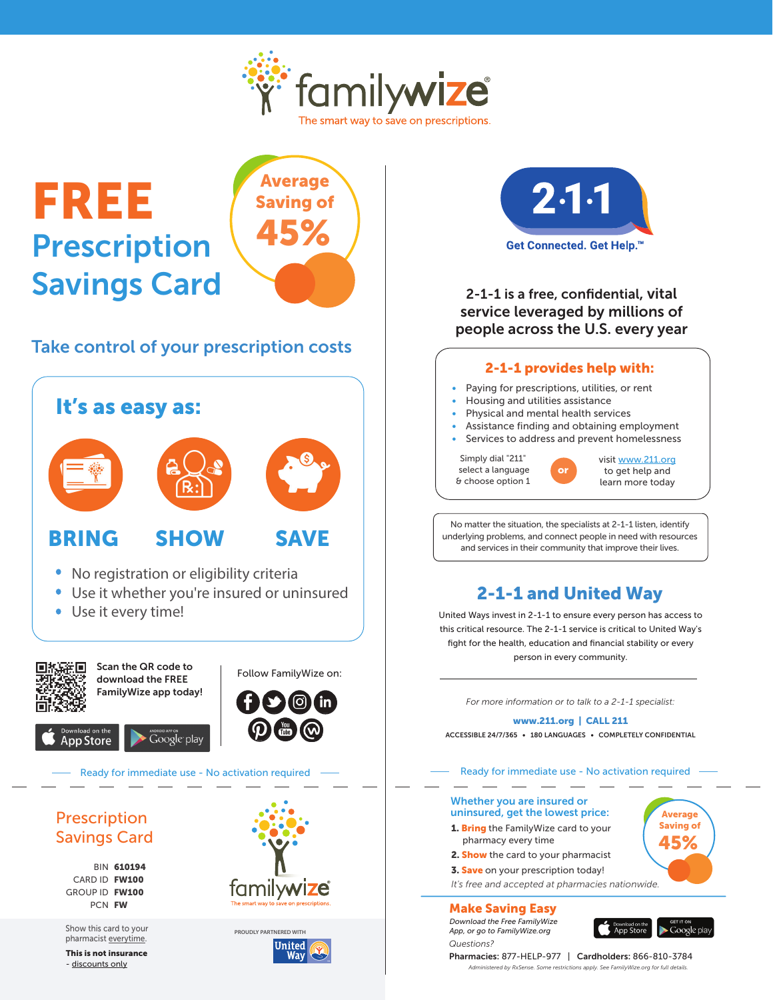

# FREE Prescription Savings Card



### Take control of your prescription costs





#### 2-1-1 is a free, confidential, vital service leveraged by millions of people across the U.S. every year

#### 2-1-1 provides help with:

- Paying for prescriptions, utilities, or rent
- Housing and utilities assistance
- Physical and mental health services
- Assistance finding and obtaining employment
- Services to address and prevent homelessness

or

Simply dial "211" select a language & choose option 1



No matter the situation, the specialists at 2-1-1 listen, identify underlying problems, and connect people in need with resources and services in their community that improve their lives.

## 2-1-1 and United Way

United Ways invest in 2-1-1 to ensure every person has access to this critical resource. The 2-1-1 service is critical to United Way's fight for the health, education and financial stability or every person in every community.

*For more information or to talk to a 2-1-1 specialist:*

#### www.211.org | CALL 211

ACCESSIBLE 24/7/365 • 180 LANGUAGES • COMPLETELY CONFIDENTIAL

Ready for immediate use - No activation required

#### Whether you are insured or uninsured, get the lowest price:

- 1. Bring the FamilyWize card to your
- pharmacy every time
- 2. Show the card to your pharmacist
- **3. Save** on your prescription today!
- *It's free and accepted at pharmacies nationwide.*

Make Saving Easy *Download the Free FamilyWize App, or go to FamilyWize.org*

*Questions?*

App Store Google play

Average Saving of 45%

Pharmacies: 877-HELP-977 | Cardholders: 866-810-3784 *Administered by RxSense. Some restrictions apply. See FamilyWize.org for full details.*

## Savings Card

BIN 610194 CARD ID FW100 GROUP ID FW100 PCN FW

Show this card to your pharmacist everytime. **PROUDLY PARTNERED WITH**

This is not insurance - discounts only





**Way**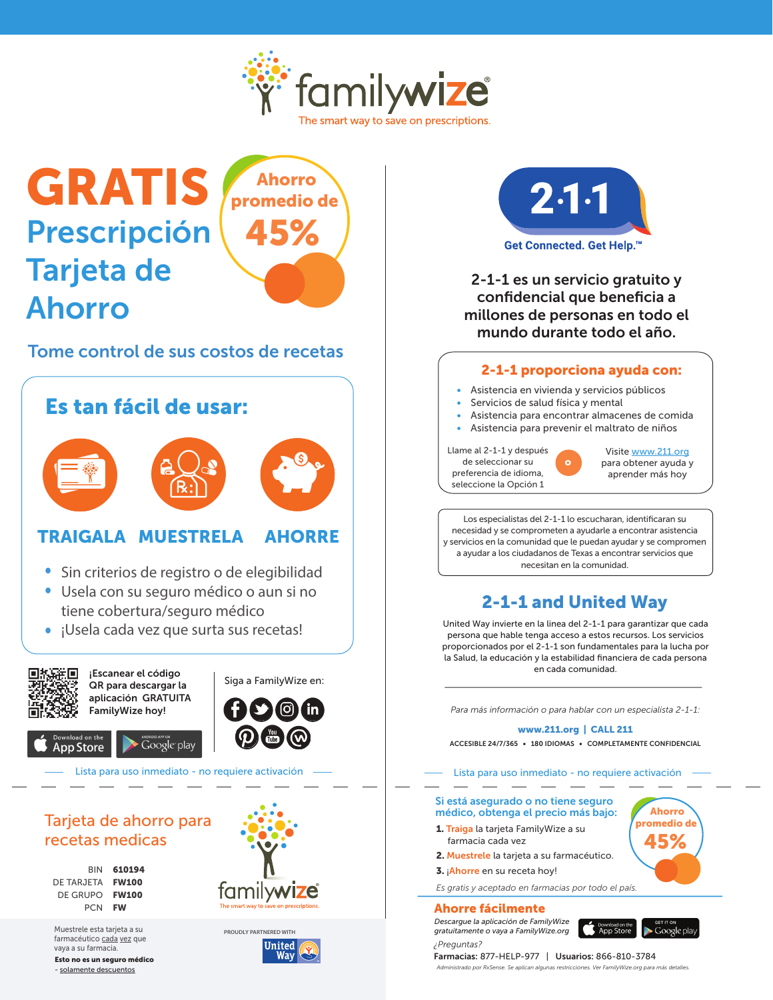

## GRATIS Prescripción Tarjeta de Ahorro



#### Tome control de sus costos de recetas

## Es tan fácil de usar:





### TRAIGALA MUESTRELA AHORRE

- Sin criterios de registro o de elegibilidad
- Usela con su seguro médico o aun si no tiene cobertura/seguro médico
- ¡Usela cada vez que surta sus recetas!



#### Tarjeta de ahorro para recetas medicas

**BIN 610194** DE TARJETA FW100 DE GRUPO FW100 PCN FW

Muestrele esta tarjeta a su farmacéutico cada vez que vaya a su farmacia.

Esto no es un seguro médico - solamente descuentos







2-1-1 es un servicio gratuito y confidencial que beneficia a millones de personas en todo el mundo durante todo el año.

#### 2-1-1 proporciona ayuda con:

- Asistencia en vivienda y servicios públicos
- Servicios de salud física y mental
- Asistencia para encontrar almacenes de comida
- Asistencia para prevenir el maltrato de niños

o

Llame al 2-1-1 y después de seleccionar su preferencia de idioma, seleccione la Opción 1



para obtener ayuda y aprender más hoy

Los especialistas del 2-1-1 lo escucharan, identificaran su necesidad y se comprometen a ayudarle a encontrar asistencia y servicios en la comunidad que le puedan ayudar y se compromen a ayudar a los ciudadanos de Texas a encontrar servicios que necesitan en la comunidad.

### 2-1-1 and United Way

United Way invierte en la linea del 2-1-1 para garantizar que cada persona que hable tenga acceso a estos recursos. Los servicios proporcionados por el 2-1-1 son fundamentales para la lucha por la Salud, la educación y la estabilidad financiera de cada persona en cada comunidad.

*Para más información o para hablar con un especialista 2-1-1:*

#### www.211.org | CALL 211

ACCESIBLE 24/7/365 • 180 IDIOMAS • COMPLETAMENTE CONFIDENCIAL

Lista para uso inmediato - no requiere activación

#### Si está asegurado o no tiene seguro médico, obtenga el precio más bajo:

- 1. Traiga la tarjeta FamilyWize a su farmacia cada vez
- 2. Muestrele la tarjeta a su farmacéutico.
- 3. ¡Ahorre en su receta hoy!
- *Es gratis y aceptado en farmacias por todo el país.*

Ahorre fácilmente *Descargue la aplicación de FamilyWize* 

*¿Preguntas?*

*gratuitamente o vaya a FamilyWize.org*



Farmacias: 877-HELP-977 | Usuarios: 866-810-3784 *Administrado por RxSense. Se aplican algunas restricciones. Ver FamilyWize.org para más detalles.*